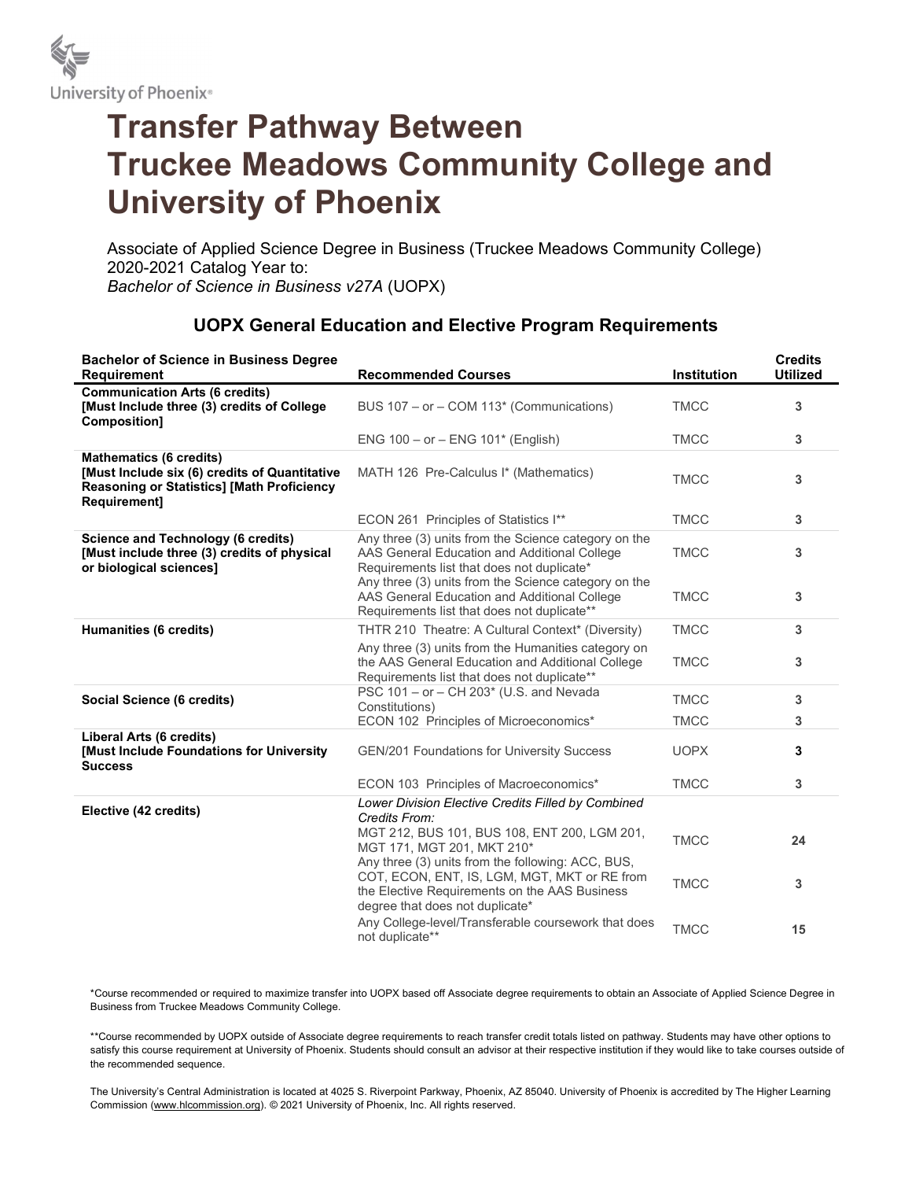

## Transfer Pathway Between Truckee Meadows Community College and University of Phoenix

Associate of Applied Science Degree in Business (Truckee Meadows Community College) 2020-2021 Catalog Year to: Bachelor of Science in Business v27A (UOPX)

## UOPX General Education and Elective Program Requirements

| <b>Bachelor of Science in Business Degree</b><br><b>Requirement</b>                                                                                         | <b>Recommended Courses</b>                                                                                                                                                            | <b>Institution</b> | <b>Credits</b><br><b>Utilized</b> |
|-------------------------------------------------------------------------------------------------------------------------------------------------------------|---------------------------------------------------------------------------------------------------------------------------------------------------------------------------------------|--------------------|-----------------------------------|
| <b>Communication Arts (6 credits)</b><br>[Must Include three (3) credits of College<br>Composition]                                                         | BUS 107 - or - COM 113* (Communications)                                                                                                                                              | <b>TMCC</b>        | 3                                 |
|                                                                                                                                                             | ENG $100 - or - ENG 101*$ (English)                                                                                                                                                   | <b>TMCC</b>        | 3                                 |
| <b>Mathematics (6 credits)</b><br>[Must Include six (6) credits of Quantitative<br><b>Reasoning or Statistics] [Math Proficiency</b><br><b>Requirement1</b> | MATH 126 Pre-Calculus I* (Mathematics)                                                                                                                                                | <b>TMCC</b>        | 3                                 |
|                                                                                                                                                             | ECON 261 Principles of Statistics I**                                                                                                                                                 | <b>TMCC</b>        | 3                                 |
| <b>Science and Technology (6 credits)</b><br>[Must include three (3) credits of physical<br>or biological sciences]                                         | Any three (3) units from the Science category on the<br>AAS General Education and Additional College<br>Requirements list that does not duplicate*                                    | <b>TMCC</b>        | 3                                 |
|                                                                                                                                                             | Any three (3) units from the Science category on the<br>AAS General Education and Additional College<br>Requirements list that does not duplicate**                                   | <b>TMCC</b>        | 3                                 |
| Humanities (6 credits)                                                                                                                                      | THTR 210 Theatre: A Cultural Context* (Diversity)                                                                                                                                     | <b>TMCC</b>        | 3                                 |
|                                                                                                                                                             | Any three (3) units from the Humanities category on<br>the AAS General Education and Additional College<br>Requirements list that does not duplicate**                                | <b>TMCC</b>        | 3                                 |
| Social Science (6 credits)                                                                                                                                  | PSC 101 - or - CH 203* (U.S. and Nevada<br>Constitutions)                                                                                                                             | <b>TMCC</b>        | 3                                 |
|                                                                                                                                                             | ECON 102 Principles of Microeconomics*                                                                                                                                                | <b>TMCC</b>        | 3                                 |
| Liberal Arts (6 credits)<br>[Must Include Foundations for University<br><b>Success</b>                                                                      | <b>GEN/201 Foundations for University Success</b>                                                                                                                                     | <b>UOPX</b>        | 3                                 |
|                                                                                                                                                             | ECON 103 Principles of Macroeconomics*                                                                                                                                                | <b>TMCC</b>        | 3                                 |
| Elective (42 credits)                                                                                                                                       | Lower Division Elective Credits Filled by Combined<br>Credits From:                                                                                                                   |                    |                                   |
|                                                                                                                                                             | MGT 212, BUS 101, BUS 108, ENT 200, LGM 201,<br>MGT 171, MGT 201, MKT 210*                                                                                                            | <b>TMCC</b>        | 24                                |
|                                                                                                                                                             | Any three (3) units from the following: ACC, BUS,<br>COT, ECON, ENT, IS, LGM, MGT, MKT or RE from<br>the Elective Requirements on the AAS Business<br>degree that does not duplicate* | <b>TMCC</b>        | 3                                 |
|                                                                                                                                                             | Any College-level/Transferable coursework that does<br>not duplicate**                                                                                                                | <b>TMCC</b>        | 15                                |

\*Course recommended or required to maximize transfer into UOPX based off Associate degree requirements to obtain an Associate of Applied Science Degree in Business from Truckee Meadows Community College.

\*\*Course recommended by UOPX outside of Associate degree requirements to reach transfer credit totals listed on pathway. Students may have other options to satisfy this course requirement at University of Phoenix. Students should consult an advisor at their respective institution if they would like to take courses outside of the recommended sequence.

The University's Central Administration is located at 4025 S. Riverpoint Parkway, Phoenix, AZ 85040. University of Phoenix is accredited by The Higher Learning Commission (www.hlcommission.org). © 2021 University of Phoenix, Inc. All rights reserved.